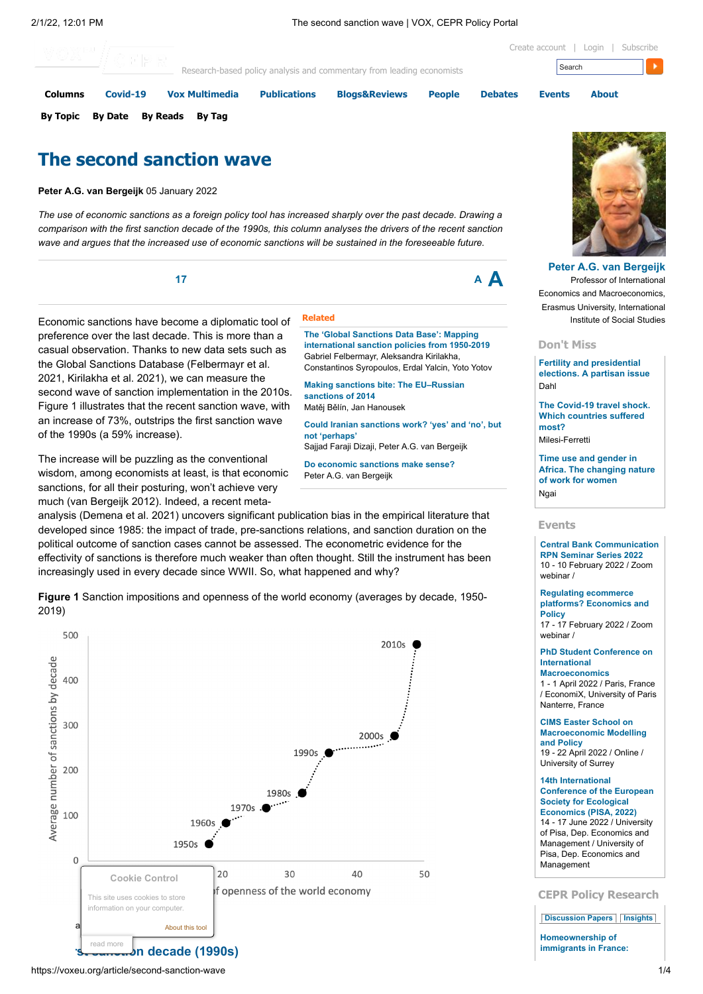[Create account](https://voxeu.org/user/register) | [Login](https://voxeu.org/user/login?destination=node/72785) | [Subscribe](https://voxeu.org/pages/feeds)



# **The second sanction wave**

**Peter A.G. van Bergeijk** 05 January 2022

The use of economic sanctions as a foreign policy tool has increased sharply over the past decade. Drawing a comparison with the first sanction decade of the 1990s, this column analyses the drivers of the recent sanction *wave and argues that the increased use of economic sanctions will be sustained in the foreseeable future.*

**<sup>17</sup> <sup>A</sup> A**

Economic sanctions have become a diplomatic tool of preference over the last decade. This is more than a casual observation. Thanks to new data sets such as the Global Sanctions Database (Felbermayr et al. 2021, Kirilakha et al. 2021), we can measure the second wave of sanction implementation in the 2010s. Figure 1 illustrates that the recent sanction wave, with an increase of 73%, outstrips the first sanction wave of the 1990s (a 59% increase).

The increase will be puzzling as the conventional wisdom, among economists at least, is that economic sanctions, for all their posturing, won't achieve very much (van Bergeijk 2012). Indeed, a recent meta-

**Related**

**The 'Global Sanctions Data Base': Mapping [international](https://voxeu.org/article/global-sanctions-data-base-mapping-international-sanction-policies-1950-2019) sanction policies from 1950-2019** Gabriel Felbermayr, Aleksandra Kirilakha, Constantinos Syropoulos, Erdal Yalcin, Yoto Yotov

**Making sanctions bite: The [EU–Russian](https://voxeu.org/article/making-sanctions-bite-eu-russian-sanctions-2014) sanctions of 2014** Matěj Bělín, Jan Hanousek

**Could Iranian [sanctions](https://voxeu.org/article/could-iranian-sanctions-work-yes-and-no-not-perhaps) work? 'yes' and 'no', but not 'perhaps'**

Sajjad Faraji Dizaji, Peter A.G. van Bergeijk

**Do [economic](https://voxeu.org/article/do-economic-sanctions-make-sense) sanctions make sense?** Peter A.G. van Bergeijk

analysis (Demena et al. 2021) uncovers significant publication bias in the empirical literature that developed since 1985: the impact of trade, pre-sanctions relations, and sanction duration on the political outcome of sanction cases cannot be assessed. The econometric evidence for the effectivity of sanctions is therefore much weaker than often thought. Still the instrument has been increasingly used in every decade since WWII. So, what happened and why?

**Figure 1** Sanction impositions and openness of the world economy (averages by decade, 1950- 2019)



**[Peter A.G. van Bergeijk](https://voxeu.org/user/221393)** Professor of International Economics and Macroeconomics, Erasmus University, International Institute of Social Studies

#### **Don't Miss**

**Fertility and [presidential](https://voxeu.org/content/fertility-and-presidential-elections-partisan-issue) elections. A partisan issue** Dahl

**The Covid-19 travel shock. Which [countries](https://voxeu.org/content/covid-19-travel-shock-which-countries-suffered-most) suffered most?**

Milesi-Ferretti

**Time use and gender in Africa. The [changing](https://voxeu.org/content/time-use-and-gender-africa-changing-nature-work-women) nature of work for women** Ngai

#### **Events**

**Central Bank [Communication](https://voxeu.org/events/central-bank-communication-rpn-seminar-series-2022-0) RPN Seminar Series 2022** 10 - 10 February 2022 / Zoom webinar /

**Regulating [ecommerce](https://voxeu.org/events/regulating-ecommerce-platforms-economics-and-policy) platforms? Economics and Policy** 17 - 17 February 2022 / Zoom

webinar /

**PhD Student Conference on International [Macroeconomics](https://voxeu.org/events/phd-student-conference-international-macroeconomics-0)** 1 - 1 April 2022 / Paris, France / EconomiX, University of Paris Nanterre, France

**CIMS Easter School on [Macroeconomic](https://voxeu.org/events/cims-easter-school-macroeconomic-modelling-and-policy-1) Modelling and Policy** 19 - 22 April 2022 / Online / University of Surrey

### **14th [International](https://voxeu.org/events/14th-international-conference-european-society-ecological-economics-pisa-2022)**

**Conference of the European Society for Ecological Economics (PISA, 2022)** 14 - 17 June 2022 / University of Pisa, Dep. Economics and Management / University of Pisa, Dep. Economics and Management

### **CEPR Policy Research**

**[Discussion](https://voxeu.org/article/second-sanction-wave?qt-quicktabs_cepr_policy_research=0#qt-quicktabs_cepr_policy_research) Papers [Insights](https://voxeu.org/article/second-sanction-wave?qt-quicktabs_cepr_policy_research=1#qt-quicktabs_cepr_policy_research)**

**[Homeownership](https://voxeu.org/epubs/cepr-dps/homeownership-immigrants-france-selection-effects-related-international-migration-flows) of immigrants in France:**

```
https://voxeu.org/article/second-sanction-wave 1/4
```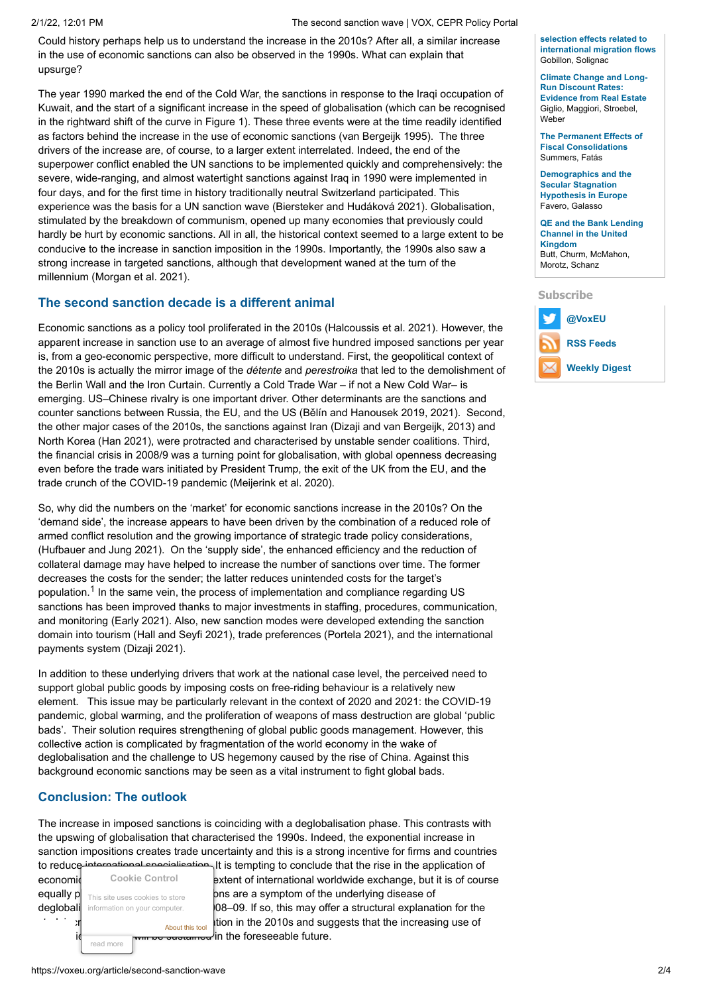### 2/1/22, 12:01 PM The second sanction wave | VOX, CEPR Policy Portal

Could history perhaps help us to understand the increase in the 2010s? After all, a similar increase in the use of economic sanctions can also be observed in the 1990s. What can explain that upsurge?

The year 1990 marked the end of the Cold War, the sanctions in response to the Iraqi occupation of Kuwait, and the start of a significant increase in the speed of globalisation (which can be recognised in the rightward shift of the curve in Figure 1). These three events were at the time readily identified as factors behind the increase in the use of economic sanctions (van Bergeijk 1995). The three drivers of the increase are, of course, to a larger extent interrelated. Indeed, the end of the superpower conflict enabled the UN sanctions to be implemented quickly and comprehensively: the severe, wide-ranging, and almost watertight sanctions against Iraq in 1990 were implemented in four days, and for the first time in history traditionally neutral Switzerland participated. This experience was the basis for a UN sanction wave (Biersteker and Hudáková 2021). Globalisation, stimulated by the breakdown of communism, opened up many economies that previously could hardly be hurt by economic sanctions. All in all, the historical context seemed to a large extent to be conducive to the increase in sanction imposition in the 1990s. Importantly, the 1990s also saw a strong increase in targeted sanctions, although that development waned at the turn of the millennium (Morgan et al. 2021).

# **The second sanction decade is a different animal**

Economic sanctions as a policy tool proliferated in the 2010s (Halcoussis et al. 2021). However, the apparent increase in sanction use to an average of almost five hundred imposed sanctions per year is, from a geo-economic perspective, more difficult to understand. First, the geopolitical context of the 2010s is actually the mirror image of the *détente* and *perestroika* that led to the demolishment of the Berlin Wall and the Iron Curtain. Currently a Cold Trade War – if not a New Cold War– is emerging. US–Chinese rivalry is one important driver. Other determinants are the sanctions and counter sanctions between Russia, the EU, and the US (Bělín and Hanousek 2019, 2021). Second, the other major cases of the 2010s, the sanctions against Iran (Dizaji and van Bergeijk, 2013) and North Korea (Han 2021), were protracted and characterised by unstable sender coalitions. Third, the financial crisis in 2008/9 was a turning point for globalisation, with global openness decreasing even before the trade wars initiated by President Trump, the exit of the UK from the EU, and the trade crunch of the COVID-19 pandemic (Meijerink et al. 2020).

So, why did the numbers on the 'market' for economic sanctions increase in the 2010s? On the 'demand side', the increase appears to have been driven by the combination of a reduced role of armed conflict resolution and the growing importance of strategic trade policy considerations, (Hufbauer and Jung 2021). On the 'supply side', the enhanced efficiency and the reduction of collateral damage may have helped to increase the number of sanctions over time. The former decreases the costs for the sender; the latter reduces unintended costs for the target's population. $^{\mathsf{1}}$  In the same vein, the process of implementation and compliance regarding US sanctions has been improved thanks to major investments in staffing, procedures, communication, and monitoring (Early 2021). Also, new sanction modes were developed extending the sanction domain into tourism (Hall and Seyfi 2021), trade preferences (Portela 2021), and the international payments system (Dizaji 2021).

In addition to these underlying drivers that work at the national case level, the perceived need to support global public goods by imposing costs on free-riding behaviour is a relatively new element. This issue may be particularly relevant in the context of 2020 and 2021: the COVID-19 pandemic, global warming, and the proliferation of weapons of mass destruction are global 'public bads'. Their solution requires strengthening of global public goods management. However, this collective action is complicated by fragmentation of the world economy in the wake of deglobalisation and the challenge to US hegemony caused by the rise of China. Against this background economic sanctions may be seen as a vital instrument to fight global bads.

# **Conclusion: The outlook**

The increase in imposed sanctions is coinciding with a deglobalisation phase. This contrasts with the upswing of globalisation that characterised the 1990s. Indeed, the exponential increase in sanction impositions creates trade uncertainty and this is a strong incentive for firms and countries to reduce international specialisation. It is tempting to conclude that the rise in the application of

read more **Cookie Control** This site uses cookies to store information on your computer. [About this tool](http://www.civicuk.com/cookie-law)

economic cookie Control extent of international worldwide exchange, but it is of course equally  $p_{\text{This site uses cookies to store}}$  becoming the underlying disease of deglobali information on your computer. **08–09. If so, this may offer a structural explanation for the** tion in the 2010s and suggests that the increasing use of  $\mathcal{V}$ in the foreseeable future.

**selection effects related to [international](https://voxeu.org/epubs/cepr-dps/homeownership-immigrants-france-selection-effects-related-international-migration-flows) migration flows** Gobillon, Solignac

**Climate Change and Long-Run Discount Rates: [Evidence](https://voxeu.org/epubs/cepr-dps/climate-change-and-long-run-discount-rates-evidence-real-estate) from Real Estate** Giglio, Maggiori, Stroebel, Weber

**The Permanent Effects of Fiscal [Consolidations](https://voxeu.org/epubs/cepr-dps/permanent-effects-fiscal-consolidations)** Summers, Fatás

**[Demographics](https://voxeu.org/epubs/cepr-dps/demographics-and-secular-stagnation-hypothesis-europe) and the Secular Stagnation Hypothesis in Europe** Favero, Galasso

**QE and the Bank Lending Channel in the United [Kingdom](https://voxeu.org/epubs/cepr-dps/qe-and-bank-lending-channel-united-kingdom)** Butt, Churm, McMahon, Morotz, Schanz

**Subscribe**

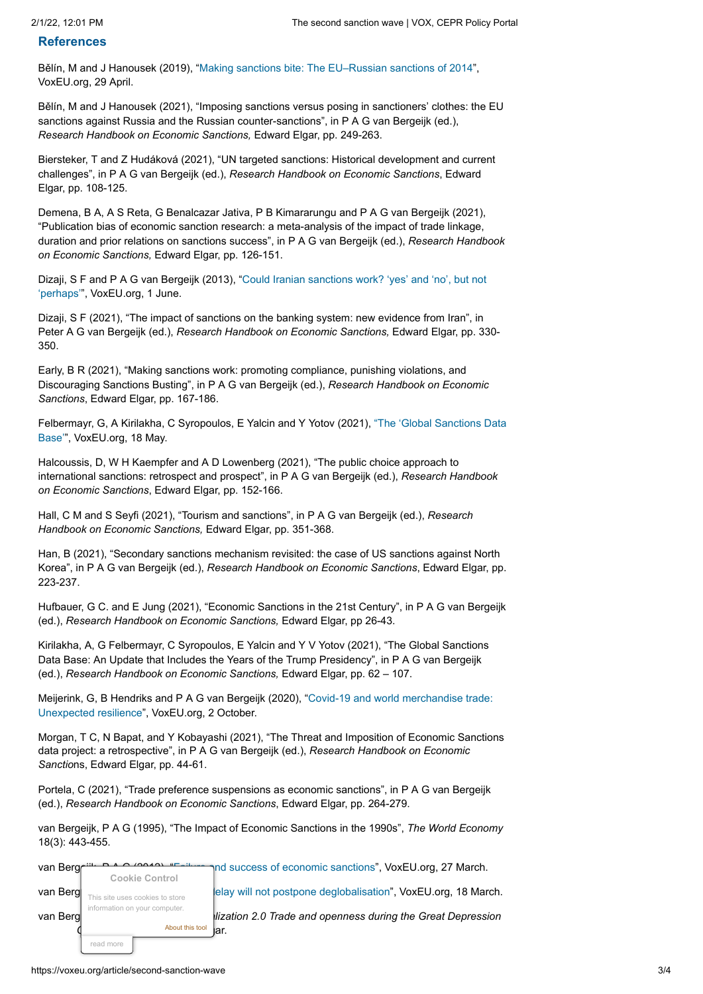## **References**

Bělín, M and J Hanousek (2019), "[Making sanctions bite: The EU–Russian sanctions of 2014"](https://voxeu.org/article/making-sanctions-bite-eu-russian-sanctions-2014), VoxEU.org, 29 April.

Bělín, M and J Hanousek (2021), "Imposing sanctions versus posing in sanctioners' clothes: the EU sanctions against Russia and the Russian counter-sanctions", in P A G van Bergeijk (ed.), *Research Handbook on Economic Sanctions,* Edward Elgar, pp. 249-263.

Biersteker, T and Z Hudáková (2021), "UN targeted sanctions: Historical development and current challenges", in P A G van Bergeijk (ed.), *Research Handbook on Economic Sanctions*, Edward Elgar, pp. 108-125.

Demena, B A, A S Reta, G Benalcazar Jativa, P B Kimararungu and P A G van Bergeijk (2021), "Publication bias of economic sanction research: a meta-analysis of the impact of trade linkage, duration and prior relations on sanctions success", in P A G van Bergeijk (ed.), *Research Handbook on Economic Sanctions,* Edward Elgar, pp. 126-151.

[Dizaji, S F and P A G van Bergeijk \(2013\), "Could Iranian sanctions work? 'yes' and 'no', but not](https://voxeu.org/article/could-iranian-sanctions-work-yes-and-no-not-perhaps) 'perhaps'", VoxEU.org, 1 June.

Dizaji, S F (2021), "The impact of sanctions on the banking system: new evidence from Iran", in Peter A G van Bergeijk (ed.), *Research Handbook on Economic Sanctions,* Edward Elgar, pp. 330- 350.

Early, B R (2021), "Making sanctions work: promoting compliance, punishing violations, and Discouraging Sanctions Busting", in P A G van Bergeijk (ed.), *Research Handbook on Economic Sanctions*, Edward Elgar, pp. 167-186.

[Felbermayr, G, A Kirilakha, C Syropoulos, E Yalcin and Y Yotov \(2021\), "The 'Global Sanctions Data](https://voxeu.org/article/global-sanctions-data-base) Base'", VoxEU.org, 18 May.

Halcoussis, D, W H Kaempfer and A D Lowenberg (2021), "The public choice approach to international sanctions: retrospect and prospect", in P A G van Bergeijk (ed.), *Research Handbook on Economic Sanctions*, Edward Elgar, pp. 152-166.

Hall, C M and S Seyfi (2021), "Tourism and sanctions", in P A G van Bergeijk (ed.), *Research Handbook on Economic Sanctions,* Edward Elgar, pp. 351-368.

Han, B (2021), "Secondary sanctions mechanism revisited: the case of US sanctions against North Korea", in P A G van Bergeijk (ed.), *Research Handbook on Economic Sanctions*, Edward Elgar, pp. 223-237.

Hufbauer, G C. and E Jung (2021), "Economic Sanctions in the 21st Century", in P A G van Bergeijk (ed.), *Research Handbook on Economic Sanctions,* Edward Elgar, pp 26-43.

Kirilakha, A, G Felbermayr, C Syropoulos, E Yalcin and Y V Yotov (2021), "The Global Sanctions Data Base: An Update that Includes the Years of the Trump Presidency", in P A G van Bergeijk (ed.), *Research Handbook on Economic Sanctions,* Edward Elgar, pp. 62 – 107.

[Meijerink, G, B Hendriks and P A G van Bergeijk \(2020\), "Covid-19 and world merchandise trade:](https://voxeu.org/article/covid-19-and-world-merchandise-trade) Unexpected resilience", VoxEU.org, 2 October.

Morgan, T C, N Bapat, and Y Kobayashi (2021), "The Threat and Imposition of Economic Sanctions data project: a retrospective", in P A G van Bergeijk (ed.), *Research Handbook on Economic Sanctio*ns, Edward Elgar, pp. 44-61.

Portela, C (2021), "Trade preference suspensions as economic sanctions", in P A G van Bergeijk (ed.), *Research Handbook on Economic Sanctions*, Edward Elgar, pp. 264-279.

van Bergeijk, P A G (1995), "The Impact of Economic Sanctions in the 1990s", *The World Economy* 18(3): 443-455.

| van Berg | <b>Cookie Control</b>                            |  | and success of economic sanctions", VoxEU.org, 27 March.            |
|----------|--------------------------------------------------|--|---------------------------------------------------------------------|
| van Berg | This site uses cookies to store                  |  | lelay will not postpone deglobalisation", VoxEU.org, 18 March.      |
| van Berg | information on your computer.<br>About this tool |  | lization 2.0 Trade and openness during the Great Depression<br>lar. |
|          | read more                                        |  |                                                                     |